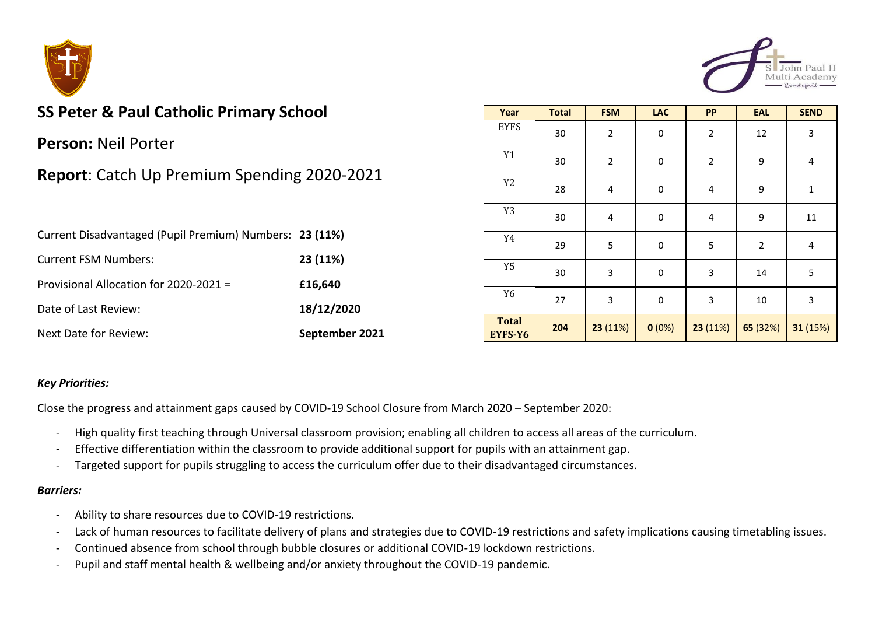



# **SS Peter & Paul Catholic Primary School**

**Person:** Neil Porter

## **Report**: Catch Up Premium Spending 2020-2021

| Current Disadvantaged (Pupil Premium) Numbers: 23 (11%) |                |
|---------------------------------------------------------|----------------|
| <b>Current FSM Numbers:</b>                             | 23 (11%)       |
| Provisional Allocation for 2020-2021 =                  | £16,640        |
| Date of Last Review:                                    | 18/12/2020     |
| Next Date for Review:                                   | September 2021 |

| Year                    | <b>Total</b> | <b>FSM</b>              | <b>LAC</b>  | <b>PP</b>      | <b>EAL</b>  | <b>SEND</b> |
|-------------------------|--------------|-------------------------|-------------|----------------|-------------|-------------|
| <b>EYFS</b>             | 30           | $\overline{2}$          | $\pmb{0}$   | $\overline{2}$ | 12          | 3           |
| Y1                      | 30           | $\overline{c}$          | $\mathsf 0$ | $\mathbf 2$    | 9           | 4           |
| Y <sub>2</sub>          | 28           | $\overline{\mathbf{4}}$ | $\mathsf 0$ | 4              | 9           | $\mathbf 1$ |
| Y3                      | 30           | 4                       | $\pmb{0}$   | 4              | 9           | 11          |
| Y4                      | 29           | 5                       | $\mathsf 0$ | 5              | $\mathbf 2$ | $\pmb{4}$   |
| Y <sub>5</sub>          | 30           | 3                       | 0           | $\mathsf 3$    | 14          | 5           |
| Y <sub>6</sub>          | 27           | 3                       | 0           | 3              | $10\,$      | 3           |
| <b>Total</b><br>EYFS-Y6 | 204          | 23 (11%)                | 0(0%)       | 23 (11%)       | 65 (32%)    | 31 (15%)    |

#### *Key Priorities:*

Close the progress and attainment gaps caused by COVID-19 School Closure from March 2020 – September 2020:

- High quality first teaching through Universal classroom provision; enabling all children to access all areas of the curriculum.
- Effective differentiation within the classroom to provide additional support for pupils with an attainment gap.
- Targeted support for pupils struggling to access the curriculum offer due to their disadvantaged circumstances.

#### *Barriers:*

- Ability to share resources due to COVID-19 restrictions.
- Lack of human resources to facilitate delivery of plans and strategies due to COVID-19 restrictions and safety implications causing timetabling issues.
- Continued absence from school through bubble closures or additional COVID-19 lockdown restrictions.
- Pupil and staff mental health & wellbeing and/or anxiety throughout the COVID-19 pandemic.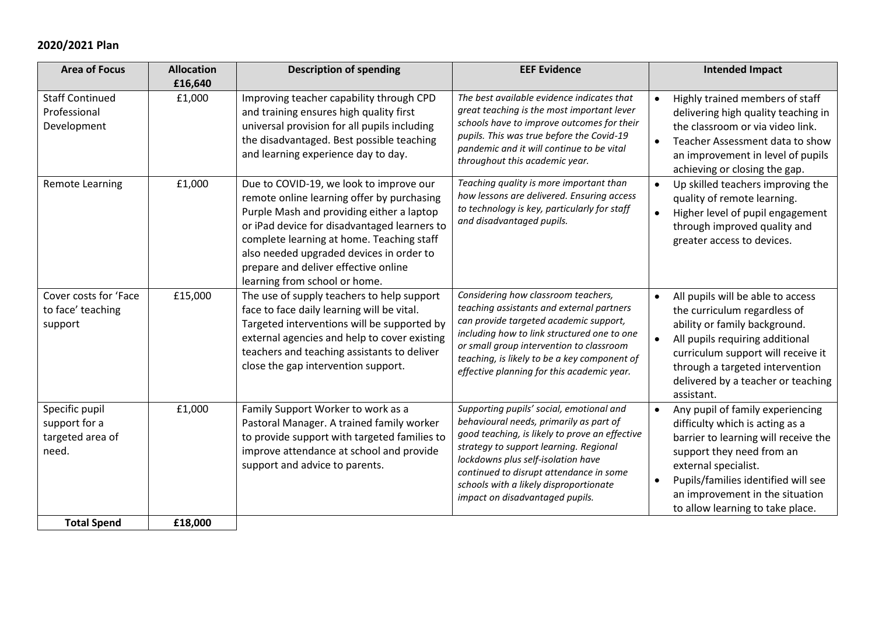## **2020/2021 Plan**

| <b>Area of Focus</b>                                         | <b>Allocation</b><br>£16,640 | <b>Description of spending</b>                                                                                                                                                                                                                                                                                                                       | <b>EEF Evidence</b>                                                                                                                                                                                                                                                                                                                           | <b>Intended Impact</b>                                                                                                                                                                                                                                                                                   |
|--------------------------------------------------------------|------------------------------|------------------------------------------------------------------------------------------------------------------------------------------------------------------------------------------------------------------------------------------------------------------------------------------------------------------------------------------------------|-----------------------------------------------------------------------------------------------------------------------------------------------------------------------------------------------------------------------------------------------------------------------------------------------------------------------------------------------|----------------------------------------------------------------------------------------------------------------------------------------------------------------------------------------------------------------------------------------------------------------------------------------------------------|
| <b>Staff Continued</b><br>Professional<br>Development        | £1,000                       | Improving teacher capability through CPD<br>and training ensures high quality first<br>universal provision for all pupils including<br>the disadvantaged. Best possible teaching<br>and learning experience day to day.                                                                                                                              | The best available evidence indicates that<br>great teaching is the most important lever<br>schools have to improve outcomes for their<br>pupils. This was true before the Covid-19<br>pandemic and it will continue to be vital<br>throughout this academic year.                                                                            | Highly trained members of staff<br>$\bullet$<br>delivering high quality teaching in<br>the classroom or via video link.<br>Teacher Assessment data to show<br>$\bullet$<br>an improvement in level of pupils<br>achieving or closing the gap.                                                            |
| <b>Remote Learning</b>                                       | £1,000                       | Due to COVID-19, we look to improve our<br>remote online learning offer by purchasing<br>Purple Mash and providing either a laptop<br>or iPad device for disadvantaged learners to<br>complete learning at home. Teaching staff<br>also needed upgraded devices in order to<br>prepare and deliver effective online<br>learning from school or home. | Teaching quality is more important than<br>how lessons are delivered. Ensuring access<br>to technology is key, particularly for staff<br>and disadvantaged pupils.                                                                                                                                                                            | Up skilled teachers improving the<br>$\bullet$<br>quality of remote learning.<br>Higher level of pupil engagement<br>$\bullet$<br>through improved quality and<br>greater access to devices.                                                                                                             |
| Cover costs for 'Face<br>to face' teaching<br>support        | £15,000                      | The use of supply teachers to help support<br>face to face daily learning will be vital.<br>Targeted interventions will be supported by<br>external agencies and help to cover existing<br>teachers and teaching assistants to deliver<br>close the gap intervention support.                                                                        | Considering how classroom teachers,<br>teaching assistants and external partners<br>can provide targeted academic support,<br>including how to link structured one to one<br>or small group intervention to classroom<br>teaching, is likely to be a key component of<br>effective planning for this academic year.                           | All pupils will be able to access<br>$\bullet$<br>the curriculum regardless of<br>ability or family background.<br>All pupils requiring additional<br>$\bullet$<br>curriculum support will receive it<br>through a targeted intervention<br>delivered by a teacher or teaching<br>assistant.             |
| Specific pupil<br>support for a<br>targeted area of<br>need. | £1,000                       | Family Support Worker to work as a<br>Pastoral Manager. A trained family worker<br>to provide support with targeted families to<br>improve attendance at school and provide<br>support and advice to parents.                                                                                                                                        | Supporting pupils' social, emotional and<br>behavioural needs, primarily as part of<br>good teaching, is likely to prove an effective<br>strategy to support learning. Regional<br>lockdowns plus self-isolation have<br>continued to disrupt attendance in some<br>schools with a likely disproportionate<br>impact on disadvantaged pupils. | Any pupil of family experiencing<br>$\bullet$<br>difficulty which is acting as a<br>barrier to learning will receive the<br>support they need from an<br>external specialist.<br>Pupils/families identified will see<br>$\bullet$<br>an improvement in the situation<br>to allow learning to take place. |
| <b>Total Spend</b>                                           | £18,000                      |                                                                                                                                                                                                                                                                                                                                                      |                                                                                                                                                                                                                                                                                                                                               |                                                                                                                                                                                                                                                                                                          |